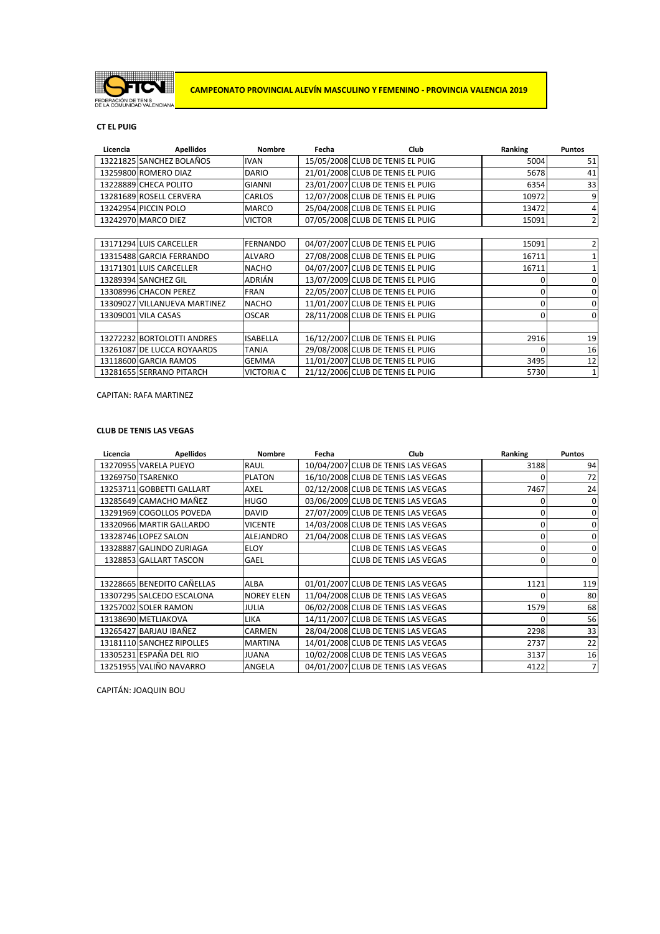

# **CT EL PUIG**

| Licencia | <b>Apellidos</b>             | <b>Nombre</b>     | Fecha | Club                             | Ranking | <b>Puntos</b>  |
|----------|------------------------------|-------------------|-------|----------------------------------|---------|----------------|
|          | 13221825 SANCHEZ BOLAÑOS     | <b>IVAN</b>       |       | 15/05/2008 CLUB DE TENIS EL PUIG | 5004    | 51             |
|          | 13259800 ROMERO DIAZ         | <b>DARIO</b>      |       | 21/01/2008 CLUB DE TENIS EL PUIG | 5678    | 41             |
|          | 13228889 CHECA POLITO        | <b>GIANNI</b>     |       | 23/01/2007 CLUB DE TENIS EL PUIG | 6354    | 33             |
|          | 13281689 ROSELL CERVERA      | CARLOS            |       | 12/07/2008 CLUB DE TENIS EL PUIG | 10972   | 9              |
|          | 13242954 PICCIN POLO         | <b>MARCO</b>      |       | 25/04/2008 CLUB DE TENIS EL PUIG | 13472   | 4              |
|          | 13242970 MARCO DIEZ          | <b>VICTOR</b>     |       | 07/05/2008 CLUB DE TENIS EL PUIG | 15091   | $\overline{2}$ |
|          |                              |                   |       |                                  |         |                |
|          | 13171294 LUIS CARCELLER      | <b>FERNANDO</b>   |       | 04/07/2007 CLUB DE TENIS EL PUIG | 15091   | 2              |
|          | 13315488 GARCIA FERRANDO     | <b>ALVARO</b>     |       | 27/08/2008 CLUB DE TENIS EL PUIG | 16711   |                |
|          | 13171301 LUIS CARCELLER      | <b>NACHO</b>      |       | 04/07/2007 CLUB DE TENIS EL PUIG | 16711   | 1              |
|          | 13289394 SANCHEZ GIL         | <b>ADRIÁN</b>     |       | 13/07/2009 CLUB DE TENIS EL PUIG | 0       | 0              |
|          | 13308996 CHACON PEREZ        | <b>FRAN</b>       |       | 22/05/2007 CLUB DE TENIS EL PUIG | 0       | 0              |
|          | 13309027 VILLANUEVA MARTINEZ | <b>NACHO</b>      |       | 11/01/2007 CLUB DE TENIS EL PUIG | 0       | 0              |
|          | 13309001 VILA CASAS          | <b>OSCAR</b>      |       | 28/11/2008 CLUB DE TENIS EL PUIG | 0       | $\overline{0}$ |
|          |                              |                   |       |                                  |         |                |
|          | 13272232 BORTOLOTTI ANDRES   | <b>ISABELLA</b>   |       | 16/12/2007 CLUB DE TENIS EL PUIG | 2916    | 19             |
|          | 13261087 DE LUCCA ROYAARDS   | <b>TANJA</b>      |       | 29/08/2008 CLUB DE TENIS EL PUIG | 0       | 16             |
|          | 13118600 GARCIA RAMOS        | <b>GEMMA</b>      |       | 11/01/2007 CLUB DE TENIS EL PUIG | 3495    | 12             |
|          | 13281655 SERRANO PITARCH     | <b>VICTORIA C</b> |       | 21/12/2006 CLUB DE TENIS EL PUIG | 5730    | $\mathbf{1}$   |

CAPITAN: RAFA MARTINEZ

### **CLUB DE TENIS LAS VEGAS**

| Licencia | <b>Apellidos</b>           | <b>Nombre</b>     | Fecha | Club                               | Ranking  | <b>Puntos</b> |
|----------|----------------------------|-------------------|-------|------------------------------------|----------|---------------|
|          | 13270955 VARELA PUEYO      | <b>RAUL</b>       |       | 10/04/2007 CLUB DE TENIS LAS VEGAS | 3188     | 94            |
|          | 13269750 TSARENKO          | <b>PLATON</b>     |       | 16/10/2008 CLUB DE TENIS LAS VEGAS | O        | 72            |
|          | 13253711 GOBBETTI GALLART  | <b>AXEL</b>       |       | 02/12/2008 CLUB DE TENIS LAS VEGAS | 7467     | 24            |
|          | 13285649 CAMACHO MAÑEZ     | <b>HUGO</b>       |       | 03/06/2009 CLUB DE TENIS LAS VEGAS | 0        | 0             |
|          | 13291969 COGOLLOS POVEDA   | DAVID             |       | 27/07/2009 CLUB DE TENIS LAS VEGAS | 0        | 0             |
|          | 13320966 MARTIR GALLARDO   | <b>VICENTE</b>    |       | 14/03/2008 CLUB DE TENIS LAS VEGAS | 0        | 0             |
|          | 13328746 LOPEZ SALON       | <b>ALEJANDRO</b>  |       | 21/04/2008 CLUB DE TENIS LAS VEGAS | $\Omega$ | 0             |
|          | 13328887 GALINDO ZURIAGA   | <b>ELOY</b>       |       | <b>CLUB DE TENIS LAS VEGAS</b>     | $\Omega$ | $\Omega$      |
|          | 1328853 GALLART TASCON     | <b>GAEL</b>       |       | <b>CLUB DE TENIS LAS VEGAS</b>     | 0        | $\Omega$      |
|          |                            |                   |       |                                    |          |               |
|          | 13228665 BENEDITO CAÑELLAS | <b>ALBA</b>       |       | 01/01/2007 CLUB DE TENIS LAS VEGAS | 1121     | 119           |
|          | 13307295 SALCEDO ESCALONA  | <b>NOREY ELEN</b> |       | 11/04/2008 CLUB DE TENIS LAS VEGAS | ŋ        | 80            |
|          | 13257002 SOLER RAMON       | <b>JULIA</b>      |       | 06/02/2008 CLUB DE TENIS LAS VEGAS | 1579     | 68            |
|          | 13138690 METLIAKOVA        | <b>LIKA</b>       |       | 14/11/2007 CLUB DE TENIS LAS VEGAS | $\Omega$ | 56            |
|          | 13265427 BARJAU IBAÑEZ     | <b>CARMEN</b>     |       | 28/04/2008 CLUB DE TENIS LAS VEGAS | 2298     | 33            |
|          | 13181110 SANCHEZ RIPOLLES  | <b>MARTINA</b>    |       | 14/01/2008 CLUB DE TENIS LAS VEGAS | 2737     | 22            |
|          | 13305231 ESPAÑA DEL RIO    | <b>JUANA</b>      |       | 10/02/2008 CLUB DE TENIS LAS VEGAS | 3137     | 16            |
|          | 13251955 VALIÑO NAVARRO    | <b>ANGELA</b>     |       | 04/01/2007 CLUB DE TENIS LAS VEGAS | 4122     | 7             |

CAPITÁN: JOAQUIN BOU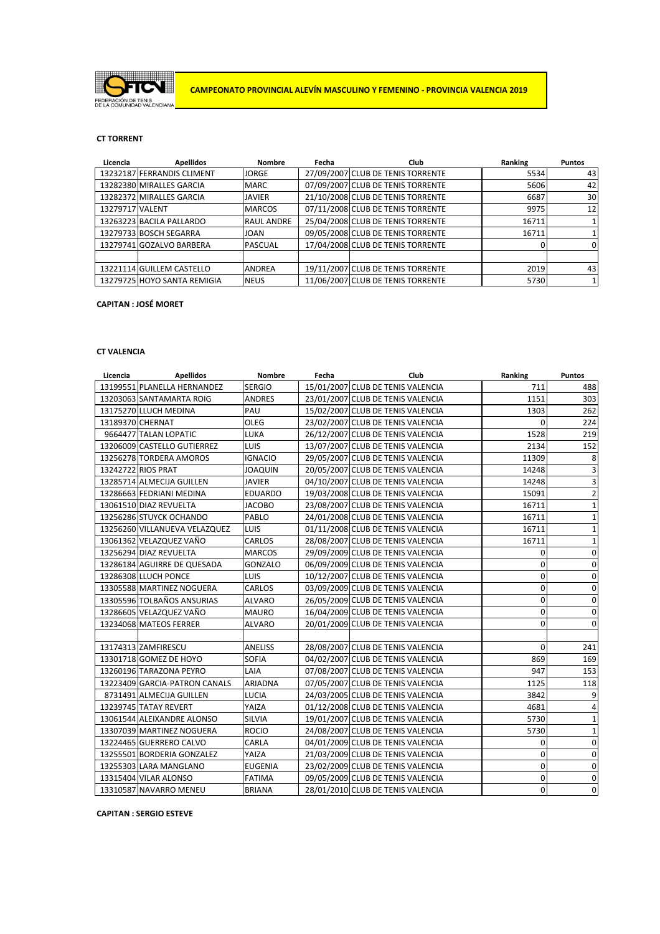

# **CT TORRENT**

| Licencia        | <b>Apellidos</b>            | <b>Nombre</b>     | Fecha | <b>Club</b>                       | Ranking | <b>Puntos</b> |
|-----------------|-----------------------------|-------------------|-------|-----------------------------------|---------|---------------|
|                 | 13232187 FERRANDIS CLIMENT  | <b>JORGE</b>      |       | 27/09/2007 CLUB DE TENIS TORRENTE | 5534    | 43            |
|                 | 13282380 MIRALLES GARCIA    | <b>MARC</b>       |       | 07/09/2007 CLUB DE TENIS TORRENTE | 5606    | 42            |
|                 | 13282372 MIRALLES GARCIA    | <b>JAVIER</b>     |       | 21/10/2008 CLUB DE TENIS TORRENTE | 6687    | 30            |
| 13279717 VALENT |                             | <b>MARCOS</b>     |       | 07/11/2008 CLUB DE TENIS TORRENTE | 9975    | 12            |
|                 | 13263223 BACILA PALLARDO    | <b>RAUL ANDRE</b> |       | 25/04/2008 CLUB DE TENIS TORRENTE | 16711   |               |
|                 | 13279733 BOSCH SEGARRA      | <b>JOAN</b>       |       | 09/05/2008 CLUB DE TENIS TORRENTE | 16711   |               |
|                 | 13279741 GOZALVO BARBERA    | <b>PASCUAL</b>    |       | 17/04/2008 CLUB DE TENIS TORRENTE |         | $\Omega$      |
|                 |                             |                   |       |                                   |         |               |
|                 | 13221114 GUILLEM CASTELLO   | <b>ANDREA</b>     |       | 19/11/2007 CLUB DE TENIS TORRENTE | 2019    | 43            |
|                 | 13279725 HOYO SANTA REMIGIA | <b>NEUS</b>       |       | 11/06/2007 CLUB DE TENIS TORRENTE | 5730    |               |

# **CAPITAN : JOSÉ MORET**

### **CT VALENCIA**

| Licencia | <b>Apellidos</b>              | Nombre         | Fecha | <b>Club</b>                       | Ranking          | <b>Puntos</b> |
|----------|-------------------------------|----------------|-------|-----------------------------------|------------------|---------------|
|          | 13199551 PLANELLA HERNANDEZ   | <b>SERGIO</b>  |       | 15/01/2007 CLUB DE TENIS VALENCIA | 711              | 488           |
|          | 13203063 SANTAMARTA ROIG      | <b>ANDRES</b>  |       | 23/01/2007 CLUB DE TENIS VALENCIA | 1151             | 303           |
|          | 13175270 LLUCH MEDINA         | PAU            |       | 15/02/2007 CLUB DE TENIS VALENCIA | 1303             | 262           |
|          | 13189370 CHERNAT              | OLEG           |       | 23/02/2007 CLUB DE TENIS VALENCIA | $\Omega$         | 224           |
|          | 9664477 TALAN LOPATIC         | LUKA           |       | 26/12/2007 CLUB DE TENIS VALENCIA | 1528             | 219           |
|          | 13206009 CASTELLO GUTIERREZ   | <b>LUIS</b>    |       | 13/07/2007 CLUB DE TENIS VALENCIA | 2134             | 152           |
|          | 13256278 TORDERA AMOROS       | <b>IGNACIO</b> |       | 29/05/2007 CLUB DE TENIS VALENCIA | 11309            | 8             |
|          | 13242722 RIOS PRAT            | <b>JOAQUIN</b> |       | 20/05/2007 CLUB DE TENIS VALENCIA | 14248            | 3             |
|          | 13285714 ALMECIJA GUILLEN     | <b>JAVIER</b>  |       | 04/10/2007 CLUB DE TENIS VALENCIA | 14248            | 3             |
|          | 13286663 FEDRIANI MEDINA      | <b>EDUARDO</b> |       | 19/03/2008 CLUB DE TENIS VALENCIA | 15091            | 2             |
|          | 13061510 DIAZ REVUELTA        | <b>JACOBO</b>  |       | 23/08/2007 CLUB DE TENIS VALENCIA | 16711            | 1             |
|          | 13256286 STUYCK OCHANDO       | PABLO          |       | 24/01/2008 CLUB DE TENIS VALENCIA | 16711            | $\mathbf{1}$  |
|          | 13256260 VILLANUEVA VELAZQUEZ | <b>LUIS</b>    |       | 01/11/2008 CLUB DE TENIS VALENCIA | 16711            | $\mathbf{1}$  |
|          | 13061362 VELAZQUEZ VAÑO       | CARLOS         |       | 28/08/2007 CLUB DE TENIS VALENCIA | 16711            | $\mathbf{1}$  |
|          | 13256294 DIAZ REVUELTA        | <b>MARCOS</b>  |       | 29/09/2009 CLUB DE TENIS VALENCIA | 0                | 0             |
|          | 13286184 AGUIRRE DE QUESADA   | GONZALO        |       | 06/09/2009 CLUB DE TENIS VALENCIA | 0                | 0             |
|          | 13286308 LLUCH PONCE          | <b>LUIS</b>    |       | 10/12/2007 CLUB DE TENIS VALENCIA | $\mathbf 0$      | 0             |
|          | 13305588 MARTINEZ NOGUERA     | CARLOS         |       | 03/09/2009 CLUB DE TENIS VALENCIA | $\mathbf 0$      | 0             |
|          | 13305596 TOLBAÑOS ANSURIAS    | <b>ALVARO</b>  |       | 26/05/2009 CLUB DE TENIS VALENCIA | 0                | 0             |
|          | 13286605 VELAZQUEZ VAÑO       | <b>MAURO</b>   |       | 16/04/2009 CLUB DE TENIS VALENCIA | 0                | 0             |
|          | 13234068 MATEOS FERRER        | <b>ALVARO</b>  |       | 20/01/2009 CLUB DE TENIS VALENCIA | $\mathbf 0$      | 0             |
|          |                               |                |       |                                   |                  |               |
|          | 13174313 ZAMFIRESCU           | <b>ANELISS</b> |       | 28/08/2007 CLUB DE TENIS VALENCIA | 0                | 241           |
|          | 13301718 GOMEZ DE HOYO        | <b>SOFIA</b>   |       | 04/02/2007 CLUB DE TENIS VALENCIA | 869              | 169           |
|          | 13260196 TARAZONA PEYRO       | LAIA           |       | 07/08/2007 CLUB DE TENIS VALENCIA | 947              | 153           |
|          | 13223409 GARCIA-PATRON CANALS | ARIADNA        |       | 07/05/2007 CLUB DE TENIS VALENCIA | 1125             | 118           |
|          | 8731491 ALMECIJA GUILLEN      | LUCIA          |       | 24/03/2005 CLUB DE TENIS VALENCIA | 3842             | 9             |
|          | 13239745 TATAY REVERT         | YAIZA          |       | 01/12/2008 CLUB DE TENIS VALENCIA | 4681             | 4             |
|          | 13061544 ALEIXANDRE ALONSO    | SILVIA         |       | 19/01/2007 CLUB DE TENIS VALENCIA | 5730             | 1             |
|          | 13307039 MARTINEZ NOGUERA     | <b>ROCIO</b>   |       | 24/08/2007 CLUB DE TENIS VALENCIA | 5730             | $\mathbf{1}$  |
|          | 13224465 GUERRERO CALVO       | CARLA          |       | 04/01/2009 CLUB DE TENIS VALENCIA | 0                | 0             |
|          | 13255501 BORDERIA GONZALEZ    | YAIZA          |       | 21/03/2009 CLUB DE TENIS VALENCIA | 0                | 0             |
|          | 13255303 LARA MANGLANO        | <b>EUGENIA</b> |       | 23/02/2009 CLUB DE TENIS VALENCIA | $\mathbf 0$      | $\mathbf 0$   |
|          | 13315404 VILAR ALONSO         | <b>FATIMA</b>  |       | 09/05/2009 CLUB DE TENIS VALENCIA | $\boldsymbol{0}$ | $\mathbf 0$   |
|          | 13310587 NAVARRO MENEU        | <b>BRIANA</b>  |       | 28/01/2010 CLUB DE TENIS VALENCIA | 0                | $\mathbf 0$   |

**CAPITAN : SERGIO ESTEVE**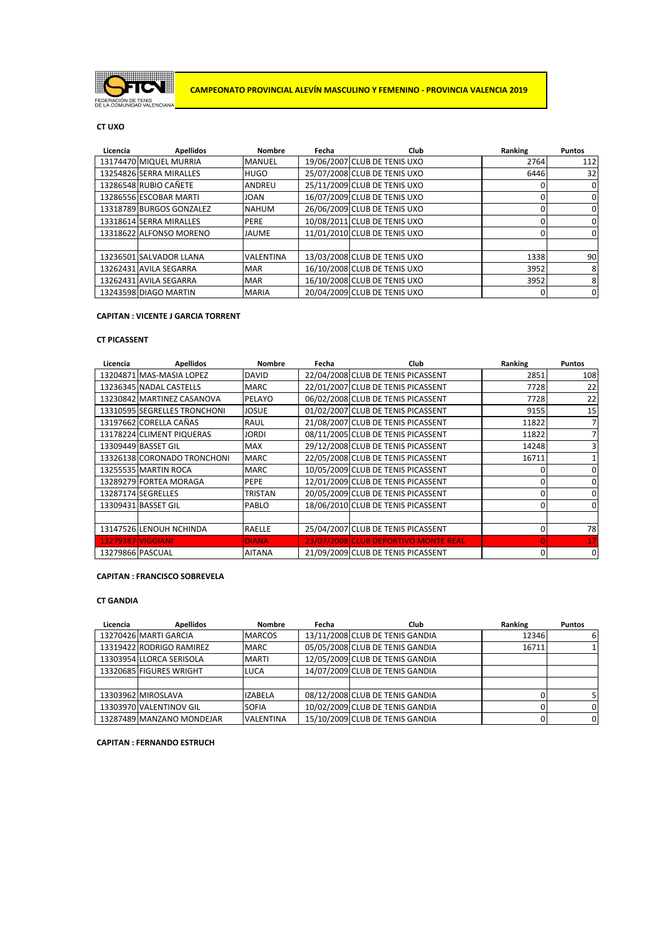

**CAMPEONATO PROVINCIAL ALEVÍN MASCULINO Y FEMENINO - PROVINCIA VALENCIA 2019**

# **CT UXO**

| Licencia | <b>Apellidos</b>         | Nombre           | Fecha | <b>Club</b>                  | Ranking | <b>Puntos</b> |
|----------|--------------------------|------------------|-------|------------------------------|---------|---------------|
|          | 13174470 MIQUEL MURRIA   | <b>MANUEL</b>    |       | 19/06/2007 CLUB DE TENIS UXO | 2764    | 112           |
|          | 13254826 SERRA MIRALLES  | <b>HUGO</b>      |       | 25/07/2008 CLUB DE TENIS UXO | 6446    | 32            |
|          | 13286548 RUBIO CAÑETE    | ANDREU           |       | 25/11/2009 CLUB DE TENIS UXO |         | $\Omega$      |
|          | 13286556 ESCOBAR MARTI   | <b>JOAN</b>      |       | 16/07/2009 CLUB DE TENIS UXO |         | 0             |
|          | 13318789 BURGOS GONZALEZ | <b>NAHUM</b>     |       | 26/06/2009 CLUB DE TENIS UXO |         | 0             |
|          | 13318614 SERRA MIRALLES  | PERE             |       | 10/08/2011 CLUB DE TENIS UXO |         | $\mathbf{0}$  |
|          | 13318622 ALFONSO MORENO  | <b>JAUME</b>     |       | 11/01/2010 CLUB DE TENIS UXO |         | 0             |
|          |                          |                  |       |                              |         |               |
|          | 13236501 SALVADOR LLANA  | <b>VALENTINA</b> |       | 13/03/2008 CLUB DE TENIS UXO | 1338    | 90            |
|          | 13262431 AVILA SEGARRA   | <b>MAR</b>       |       | 16/10/2008 CLUB DE TENIS UXO | 3952    | 8             |
|          | 13262431 AVILA SEGARRA   | <b>MAR</b>       |       | 16/10/2008 CLUB DE TENIS UXO | 3952    | 8             |
|          | 13243598 DIAGO MARTIN    | <b>MARIA</b>     |       | 20/04/2009 CLUB DE TENIS UXO | 0       | 0             |

# **CAPITAN : VICENTE J GARCIA TORRENT**

### **CT PICASSENT**

| Licencia         | <b>Apellidos</b>             | <b>Nombre</b>  | Fecha | <b>Club</b>                          | Ranking      | <b>Puntos</b> |
|------------------|------------------------------|----------------|-------|--------------------------------------|--------------|---------------|
|                  | 13204871 MAS-MASIA LOPEZ     | <b>DAVID</b>   |       | 22/04/2008 CLUB DE TENIS PICASSENT   | 2851         | 108           |
|                  | 13236345 NADAL CASTELLS      | <b>MARC</b>    |       | 22/01/2007 CLUB DE TENIS PICASSENT   | 7728         | 22            |
|                  | 13230842 MARTINEZ CASANOVA   | <b>PELAYO</b>  |       | 06/02/2008 CLUB DE TENIS PICASSENT   | 7728         | 22            |
|                  | 13310595 SEGRELLES TRONCHONI | <b>JOSUE</b>   |       | 01/02/2007 CLUB DE TENIS PICASSENT   | 9155         | 15            |
|                  | 13197662 CORELLA CAÑAS       | RAUL           |       | 21/08/2007 CLUB DE TENIS PICASSENT   | 11822        |               |
|                  | 13178224 CLIMENT PIQUERAS    | <b>JORDI</b>   |       | 08/11/2005 CLUB DE TENIS PICASSENT   | 11822        |               |
|                  | 13309449 BASSET GIL          | <b>MAX</b>     |       | 29/12/2008 CLUB DE TENIS PICASSENT   | 14248        |               |
|                  | 13326138 CORONADO TRONCHONI  | <b>MARC</b>    |       | 22/05/2008 CLUB DE TENIS PICASSENT   | 16711        |               |
|                  | 13255535 MARTIN ROCA         | <b>MARC</b>    |       | 10/05/2009 CLUB DE TENIS PICASSENT   |              | 0             |
|                  | 13289279 FORTEA MORAGA       | PEPE           |       | 12/01/2009 CLUB DE TENIS PICASSENT   |              | 0             |
|                  | 13287174 SEGRELLES           | <b>TRISTAN</b> |       | 20/05/2009 CLUB DE TENIS PICASSENT   | 0            | 0             |
|                  | 13309431 BASSET GIL          | PABLO          |       | 18/06/2010 CLUB DE TENIS PICASSENT   | <sup>0</sup> | 0             |
|                  |                              |                |       |                                      |              |               |
|                  | 13147526 LENOUH NCHINDA      | <b>RAELLE</b>  |       | 25/04/2007 CLUB DE TENIS PICASSENT   | $\Omega$     | 78            |
|                  | 13279387 VIGGIANI            | <b>DIANA</b>   |       | 23/07/2008 CLUB DEPORTIVO MONTE REAL |              | 17            |
| 13279866 PASCUAL |                              | <b>AITANA</b>  |       | 21/09/2009 CLUB DE TENIS PICASSENT   | 0            | 0             |

### **CAPITAN : FRANCISCO SOBREVELA**

# **CT GANDIA**

| Licencia | <b>Apellidos</b>          | Nombre           | Fecha | <b>Club</b>                     | Ranking | <b>Puntos</b>  |
|----------|---------------------------|------------------|-------|---------------------------------|---------|----------------|
|          | 13270426 MARTI GARCIA     | <b>MARCOS</b>    |       | 13/11/2008 CLUB DE TENIS GANDIA | 12346   | 61             |
|          | 13319422 RODRIGO RAMIREZ  | <b>MARC</b>      |       | 05/05/2008 CLUB DE TENIS GANDIA | 16711   |                |
|          | 13303954 LLORCA SERISOLA  | <b>MARTI</b>     |       | 12/05/2009 CLUB DE TENIS GANDIA |         |                |
|          | 13320685 FIGURES WRIGHT   | LUCA             |       | 14/07/2009 CLUB DE TENIS GANDIA |         |                |
|          |                           |                  |       |                                 |         |                |
|          | 13303962 MIROSLAVA        | <b>IZABELA</b>   |       | 08/12/2008 CLUB DE TENIS GANDIA |         | 51             |
|          | 13303970 VALENTINOV GIL   | <b>SOFIA</b>     |       | 10/02/2009 CLUB DE TENIS GANDIA |         | $\overline{0}$ |
|          | 13287489 MANZANO MONDEJAR | <b>VALENTINA</b> |       | 15/10/2009 CLUB DE TENIS GANDIA |         | $\overline{0}$ |

**CAPITAN : FERNANDO ESTRUCH**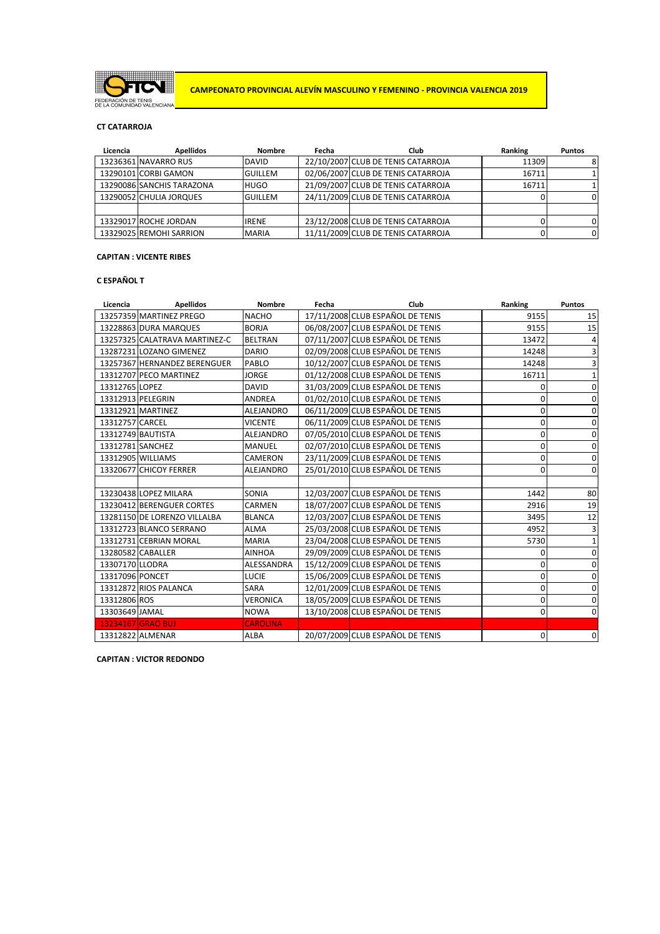

**CAMPEONATO PROVINCIAL ALEVÍN MASCULINO Y FEMENINO - PROVINCIA VALENCIA 2019**

# **CT CATARROJA**

| Licencia | <b>Apellidos</b>          | Nombre         | Fecha | Club                               | Ranking | <b>Puntos</b> |
|----------|---------------------------|----------------|-------|------------------------------------|---------|---------------|
|          | 13236361 NAVARRO RUS      | <b>DAVID</b>   |       | 22/10/2007 CLUB DE TENIS CATARROJA | 11309   | 8             |
|          | 13290101 CORBI GAMON      | <b>GUILLEM</b> |       | 02/06/2007 CLUB DE TENIS CATARROJA | 16711   |               |
|          | 13290086 SANCHIS TARAZONA | <b>HUGO</b>    |       | 21/09/2007 CLUB DE TENIS CATARROJA | 16711   |               |
|          | 13290052 CHULIA JORQUES   | <b>GUILLEM</b> |       | 24/11/2009 CLUB DE TENIS CATARROJA |         | 0             |
|          |                           |                |       |                                    |         |               |
|          | 13329017 ROCHE JORDAN     | <b>IRENE</b>   |       | 23/12/2008 CLUB DE TENIS CATARROJA |         | 0             |
|          | 13329025 REMOHI SARRION   | <b>MARIA</b>   |       | 11/11/2009 CLUB DE TENIS CATARROJA |         | $\Omega$      |

# **CAPITAN : VICENTE RIBES**

### **C ESPAÑOL T**

| Licencia         | <b>Apellidos</b>              | <b>Nombre</b>    | Fecha | <b>Club</b>                      | Ranking     | <b>Puntos</b> |
|------------------|-------------------------------|------------------|-------|----------------------------------|-------------|---------------|
|                  | 13257359 MARTINEZ PREGO       | <b>NACHO</b>     |       | 17/11/2008 CLUB ESPAÑOL DE TENIS | 9155        | 15            |
|                  | 13228863 DURA MARQUES         | <b>BORJA</b>     |       | 06/08/2007 CLUB ESPAÑOL DE TENIS | 9155        | 15            |
|                  | 13257325 CALATRAVA MARTINEZ-C | <b>BELTRAN</b>   |       | 07/11/2007 CLUB ESPAÑOL DE TENIS | 13472       | 4             |
|                  | 13287231 LOZANO GIMENEZ       | <b>DARIO</b>     |       | 02/09/2008 CLUB ESPAÑOL DE TENIS | 14248       | 3             |
|                  | 13257367 HERNANDEZ BERENGUER  | PABLO            |       | 10/12/2007 CLUB ESPAÑOL DE TENIS | 14248       | 3             |
|                  | 13312707 PECO MARTINEZ        | <b>JORGE</b>     |       | 01/12/2008 CLUB ESPAÑOL DE TENIS | 16711       | $\mathbf{1}$  |
| 13312765 LOPEZ   |                               | <b>DAVID</b>     |       | 31/03/2009 CLUB ESPAÑOL DE TENIS | 0           | $\mathbf 0$   |
|                  | 13312913 PELEGRIN             | <b>ANDREA</b>    |       | 01/02/2010 CLUB ESPAÑOL DE TENIS | $\mathbf 0$ | $\mathbf 0$   |
|                  | 13312921 MARTINEZ             | <b>ALEJANDRO</b> |       | 06/11/2009 CLUB ESPAÑOL DE TENIS | 0           | 0             |
| 13312757 CARCEL  |                               | <b>VICENTE</b>   |       | 06/11/2009 CLUB ESPAÑOL DE TENIS | 0           | $\mathbf 0$   |
|                  | 13312749 BAUTISTA             | <b>ALEJANDRO</b> |       | 07/05/2010 CLUB ESPAÑOL DE TENIS | 0           | $\mathbf 0$   |
| 13312781 SANCHEZ |                               | <b>MANUEL</b>    |       | 02/07/2010 CLUB ESPAÑOL DE TENIS | 0           | $\mathbf 0$   |
|                  | 13312905 WILLIAMS             | <b>CAMERON</b>   |       | 23/11/2009 CLUB ESPAÑOL DE TENIS | 0           | 0             |
|                  | 13320677 CHICOY FERRER        | <b>ALEJANDRO</b> |       | 25/01/2010 CLUB ESPAÑOL DE TENIS | $\mathbf 0$ | $\mathbf 0$   |
|                  |                               |                  |       |                                  |             |               |
|                  | 13230438 LOPEZ MILARA         | <b>SONIA</b>     |       | 12/03/2007 CLUB ESPAÑOL DE TENIS | 1442        | 80            |
|                  | 13230412 BERENGUER CORTES     | <b>CARMEN</b>    |       | 18/07/2007 CLUB ESPAÑOL DE TENIS | 2916        | 19            |
|                  | 13281150 DE LORENZO VILLALBA  | <b>BLANCA</b>    |       | 12/03/2007 CLUB ESPAÑOL DE TENIS | 3495        | 12            |
|                  | 13312723 BLANCO SERRANO       | <b>ALMA</b>      |       | 25/03/2008 CLUB ESPAÑOL DE TENIS | 4952        | 3             |
|                  | 13312731 CEBRIAN MORAL        | <b>MARIA</b>     |       | 23/04/2008 CLUB ESPAÑOL DE TENIS | 5730        | $\mathbf{1}$  |
|                  | 13280582 CABALLER             | <b>AINHOA</b>    |       | 29/09/2009 CLUB ESPAÑOL DE TENIS | 0           | $\mathbf 0$   |
| 13307170 LLODRA  |                               | ALESSANDRA       |       | 15/12/2009 CLUB ESPAÑOL DE TENIS | 0           | $\mathbf 0$   |
| 13317096 PONCET  |                               | <b>LUCIE</b>     |       | 15/06/2009 CLUB ESPAÑOL DE TENIS | 0           | $\mathbf 0$   |
|                  | 13312872 RIOS PALANCA         | <b>SARA</b>      |       | 12/01/2009 CLUB ESPAÑOL DE TENIS | 0           | $\mathbf 0$   |
| 13312806 ROS     |                               | <b>VERONICA</b>  |       | 18/05/2009 CLUB ESPAÑOL DE TENIS | 0           | 0             |
| 13303649 JAMAL   |                               | <b>NOWA</b>      |       | 13/10/2008 CLUB ESPAÑOL DE TENIS | 0           | $\Omega$      |
|                  | <b>13234167 GRAO BUJ</b>      | <b>CAROLINA</b>  |       |                                  |             |               |
|                  | 13312822 ALMENAR              | <b>ALBA</b>      |       | 20/07/2009 CLUB ESPAÑOL DE TENIS | 0           | 0             |

**CAPITAN : VICTOR REDONDO**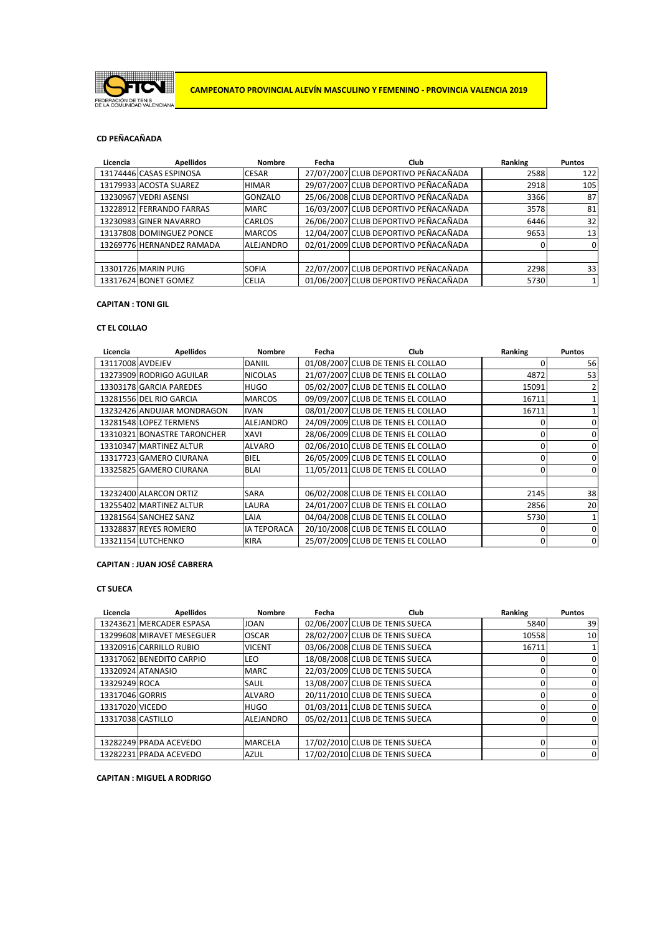

### **CD PEÑACAÑADA**

| Licencia | <b>Apellidos</b>          | <b>Nombre</b>    | Fecha | Club                                 | Ranking | <b>Puntos</b> |
|----------|---------------------------|------------------|-------|--------------------------------------|---------|---------------|
|          | 13174446 CASAS ESPINOSA   | <b>CESAR</b>     |       | 27/07/2007 CLUB DEPORTIVO PEÑACAÑADA | 2588    | 122           |
|          | 13179933 ACOSTA SUAREZ    | <b>HIMAR</b>     |       | 29/07/2007 CLUB DEPORTIVO PEÑACAÑADA | 2918    | 105           |
|          | 13230967 VEDRI ASENSI     | <b>GONZALO</b>   |       | 25/06/2008 CLUB DEPORTIVO PEÑACAÑADA | 3366    | 87            |
|          | 13228912 FERRANDO FARRAS  | <b>MARC</b>      |       | 16/03/2007 CLUB DEPORTIVO PEÑACAÑADA | 3578    | 81            |
|          | 13230983 GINER NAVARRO    | <b>CARLOS</b>    |       | 26/06/2007 CLUB DEPORTIVO PEÑACAÑADA | 6446    | 32            |
|          | 13137808 DOMINGUEZ PONCE  | <b>MARCOS</b>    |       | 12/04/2007 CLUB DEPORTIVO PEÑACAÑADA | 9653    | 13            |
|          | 13269776 HERNANDEZ RAMADA | <b>ALEJANDRO</b> |       | 02/01/2009 CLUB DEPORTIVO PEÑACAÑADA |         | $\Omega$      |
|          |                           |                  |       |                                      |         |               |
|          | 13301726 MARIN PUIG       | <b>SOFIA</b>     |       | 22/07/2007 CLUB DEPORTIVO PEÑACAÑADA | 2298    | 33            |
|          | 13317624 BONET GOMEZ      | <b>CELIA</b>     |       | 01/06/2007 CLUB DEPORTIVO PEÑACAÑADA | 5730    |               |

# **CAPITAN : TONI GIL**

### **CT EL COLLAO**

| Licencia         | <b>Apellidos</b>            | <b>Nombre</b>      | Fecha | Club                               | Ranking      | <b>Puntos</b> |
|------------------|-----------------------------|--------------------|-------|------------------------------------|--------------|---------------|
| 13117008 AVDEJEV |                             | <b>DANIIL</b>      |       | 01/08/2007 CLUB DE TENIS EL COLLAO |              | 56            |
|                  | 13273909 RODRIGO AGUILAR    | <b>NICOLAS</b>     |       | 21/07/2007 CLUB DE TENIS EL COLLAO | 4872         | 53            |
|                  | 13303178 GARCIA PAREDES     | <b>HUGO</b>        |       | 05/02/2007 CLUB DE TENIS EL COLLAO | 15091        |               |
|                  | 13281556 DEL RIO GARCIA     | <b>MARCOS</b>      |       | 09/09/2007 CLUB DE TENIS EL COLLAO | 16711        |               |
|                  | 13232426 ANDUJAR MONDRAGON  | <b>IVAN</b>        |       | 08/01/2007 CLUB DE TENIS EL COLLAO | 16711        |               |
|                  | 13281548 LOPEZ TERMENS      | ALEJANDRO          |       | 24/09/2009 CLUB DE TENIS EL COLLAO |              | $\Omega$      |
|                  | 13310321 BONASTRE TARONCHER | <b>XAVI</b>        |       | 28/06/2009 CLUB DE TENIS EL COLLAO | <sup>0</sup> | $\Omega$      |
|                  | 13310347 MARTINEZ ALTUR     | <b>ALVARO</b>      |       | 02/06/2010 CLUB DE TENIS EL COLLAO | O            | 0             |
|                  | 13317723 GAMERO CIURANA     | <b>BIEL</b>        |       | 26/05/2009 CLUB DE TENIS EL COLLAO | 0            | 0             |
|                  | 13325825 GAMERO CIURANA     | <b>BLAI</b>        |       | 11/05/2011 CLUB DE TENIS EL COLLAO |              | $\Omega$      |
|                  |                             |                    |       |                                    |              |               |
|                  | 13232400 ALARCON ORTIZ      | <b>SARA</b>        |       | 06/02/2008 CLUB DE TENIS EL COLLAO | 2145         | 38            |
|                  | 13255402 MARTINEZ ALTUR     | LAURA              |       | 24/01/2007 CLUB DE TENIS EL COLLAO | 2856         | 20            |
|                  | 13281564 SANCHEZ SANZ       | LAIA               |       | 04/04/2008 CLUB DE TENIS EL COLLAO | 5730         |               |
|                  | 13328837 REYES ROMERO       | <b>IA TEPORACA</b> |       | 20/10/2008 CLUB DE TENIS EL COLLAO | $\Omega$     | $\Omega$      |
|                  | 13321154 LUTCHENKO          | <b>KIRA</b>        |       | 25/07/2009 CLUB DE TENIS EL COLLAO | $\Omega$     | 0             |

# **CAPITAN : JUAN JOSÉ CABRERA**

### **CT SUECA**

| Licencia          | <b>Apellidos</b>          | <b>Nombre</b>    | Fecha | Club                           | Ranking | <b>Puntos</b>  |
|-------------------|---------------------------|------------------|-------|--------------------------------|---------|----------------|
|                   | 13243621 MERCADER ESPASA  | <b>JOAN</b>      |       | 02/06/2007 CLUB DE TENIS SUECA | 5840    | 39             |
|                   | 13299608 MIRAVET MESEGUER | <b>OSCAR</b>     |       | 28/02/2007 CLUB DE TENIS SUECA | 10558   | 10             |
|                   | 13320916 CARRILLO RUBIO   | <b>VICENT</b>    |       | 03/06/2008 CLUB DE TENIS SUECA | 16711   |                |
|                   | 13317062 BENEDITO CARPIO  | <b>LEO</b>       |       | 18/08/2008 CLUB DE TENIS SUECA |         | 0              |
|                   | 13320924 ATANASIO         | <b>MARC</b>      |       | 22/03/2009 CLUB DE TENIS SUECA |         | 0              |
| 13329249 ROCA     |                           | SAUL             |       | 13/08/2007 CLUB DE TENIS SUECA |         | $\Omega$       |
| 13317046 GORRIS   |                           | <b>ALVARO</b>    |       | 20/11/2010 CLUB DE TENIS SUECA |         | 0              |
| 13317020 VICEDO   |                           | <b>HUGO</b>      |       | 01/03/2011 CLUB DE TENIS SUECA |         | 0              |
| 13317038 CASTILLO |                           | <b>ALEJANDRO</b> |       | 05/02/2011 CLUB DE TENIS SUECA |         | 0              |
|                   |                           |                  |       |                                |         |                |
|                   | 13282249 PRADA ACEVEDO    | <b>MARCELA</b>   |       | 17/02/2010 CLUB DE TENIS SUECA |         | $\Omega$       |
|                   | 13282231 PRADA ACEVEDO    | <b>AZUL</b>      |       | 17/02/2010 CLUB DE TENIS SUECA |         | $\overline{0}$ |

**CAPITAN : MIGUEL A RODRIGO**